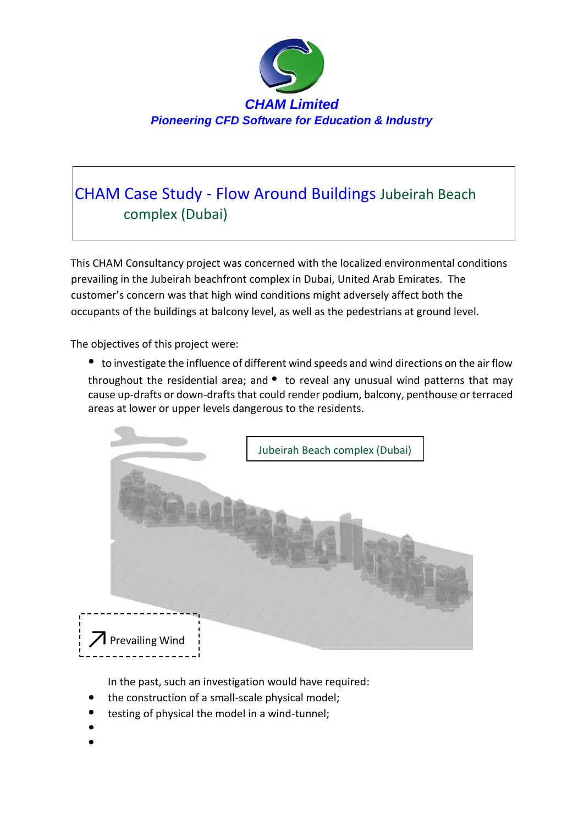

## CHAM Case Study - Flow Around Buildings Jubeirah Beach complex (Dubai)

This CHAM Consultancy project was concerned with the localized environmental conditions prevailing in the Jubeirah beachfront complex in Dubai, United Arab Emirates. The customer's concern was that high wind conditions might adversely affect both the occupants of the buildings at balcony level, as well as the pedestrians at ground level.

The objectives of this project were:

to investigate the influence of different wind speeds and wind directions on the air flow throughout the residential area; and  $\bullet$  to reveal any unusual wind patterns that may cause up-drafts or down-drafts that could render podium, balcony, penthouse or terraced areas at lower or upper levels dangerous to the residents.



In the past, such an investigation would have required:

- the construction of a small-scale physical model;
- testing of physical the model in a wind-tunnel;
-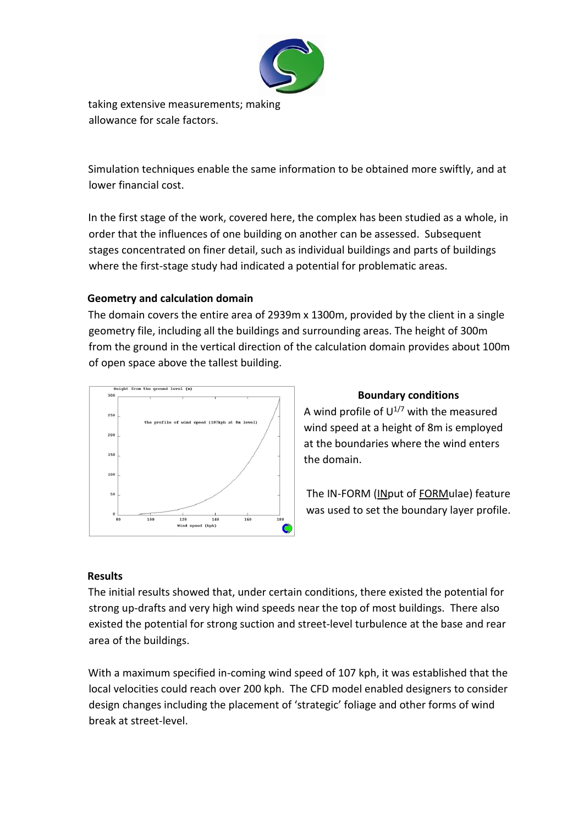

taking extensive measurements; making allowance for scale factors.

Simulation techniques enable the same information to be obtained more swiftly, and at lower financial cost.

In the first stage of the work, covered here, the complex has been studied as a whole, in order that the influences of one building on another can be assessed. Subsequent stages concentrated on finer detail, such as individual buildings and parts of buildings where the first-stage study had indicated a potential for problematic areas.

## **Geometry and calculation domain**

The domain covers the entire area of 2939m x 1300m, provided by the client in a single geometry file, including all the buildings and surrounding areas. The height of 300m from the ground in the vertical direction of the calculation domain provides about 100m of open space above the tallest building.



## **Boundary conditions**

A wind profile of  $U^{1/7}$  with the measured wind speed at a height of 8m is employed at the boundaries where the wind enters the domain.

The IN-FORM (INput of FORMulae) feature was used to set the boundary layer profile.

## **Results**

The initial results showed that, under certain conditions, there existed the potential for strong up-drafts and very high wind speeds near the top of most buildings. There also existed the potential for strong suction and street-level turbulence at the base and rear area of the buildings.

With a maximum specified in-coming wind speed of 107 kph, it was established that the local velocities could reach over 200 kph. The CFD model enabled designers to consider design changes including the placement of 'strategic' foliage and other forms of wind break at street-level.